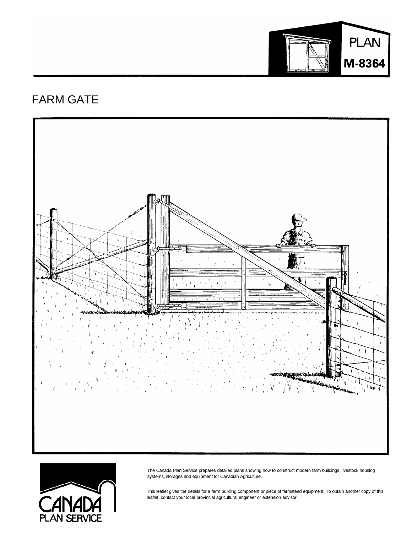

## FARM GATE





The Canada Plan Service prepares detailed plans showing how to construct modern farm buildings, livestock housing systems, storages and equipment for Canadian Agriculture.

This leaflet gives the details for a farm building component or piece of farmstead equipment. To obtain another copy of this leaflet, contact your local provincial agricultural engineer or extension advisor.